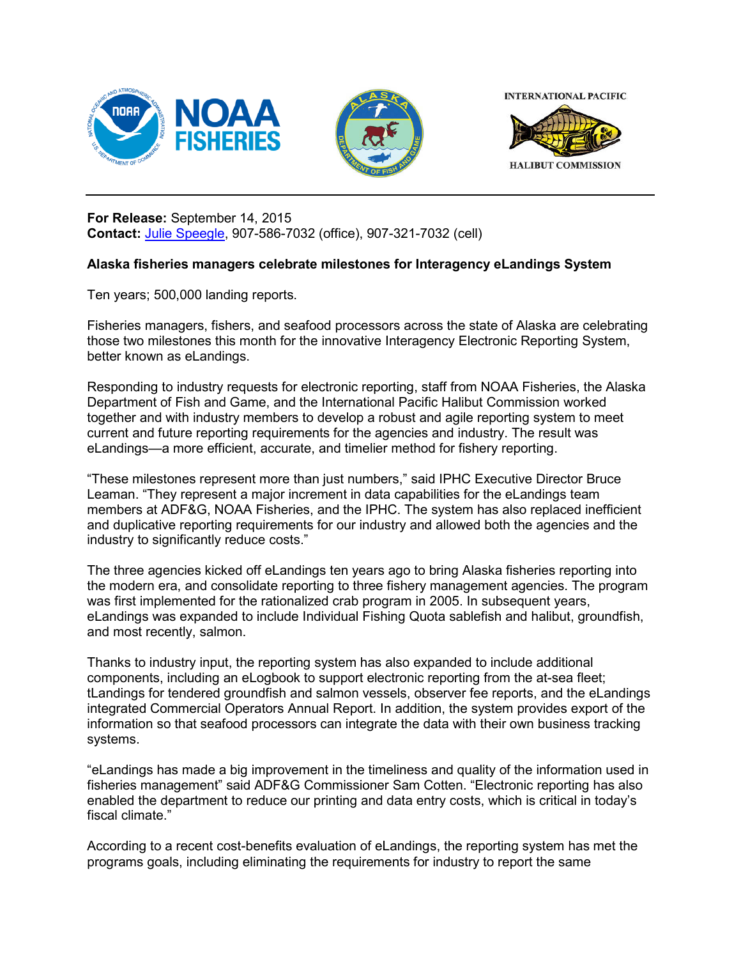







## **For Release:** September 14, 2015 **Contact:** [Julie Speegle,](mailto:Julie.speegle@noaa.gov) 907-586-7032 (office), 907-321-7032 (cell)

## **Alaska fisheries managers celebrate milestones for Interagency eLandings System**

Ten years; 500,000 landing reports.

Fisheries managers, fishers, and seafood processors across the state of Alaska are celebrating those two milestones this month for the innovative Interagency Electronic Reporting System, better known as eLandings.

Responding to industry requests for electronic reporting, staff from NOAA Fisheries, the Alaska Department of Fish and Game, and the International Pacific Halibut Commission worked together and with industry members to develop a robust and agile reporting system to meet current and future reporting requirements for the agencies and industry. The result was eLandings—a more efficient, accurate, and timelier method for fishery reporting.

"These milestones represent more than just numbers," said IPHC Executive Director Bruce Leaman. "They represent a major increment in data capabilities for the eLandings team members at ADF&G, NOAA Fisheries, and the IPHC. The system has also replaced inefficient and duplicative reporting requirements for our industry and allowed both the agencies and the industry to significantly reduce costs."

The three agencies kicked off eLandings ten years ago to bring Alaska fisheries reporting into the modern era, and consolidate reporting to three fishery management agencies. The program was first implemented for the rationalized crab program in 2005. In subsequent years, eLandings was expanded to include Individual Fishing Quota sablefish and halibut, groundfish, and most recently, salmon.

Thanks to industry input, the reporting system has also expanded to include additional components, including an eLogbook to support electronic reporting from the at-sea fleet; tLandings for tendered groundfish and salmon vessels, observer fee reports, and the eLandings integrated Commercial Operators Annual Report. In addition, the system provides export of the information so that seafood processors can integrate the data with their own business tracking systems.

"eLandings has made a big improvement in the timeliness and quality of the information used in fisheries management" said ADF&G Commissioner Sam Cotten. "Electronic reporting has also enabled the department to reduce our printing and data entry costs, which is critical in today's fiscal climate."

According to a recent cost-benefits evaluation of eLandings, the reporting system has met the programs goals, including eliminating the requirements for industry to report the same